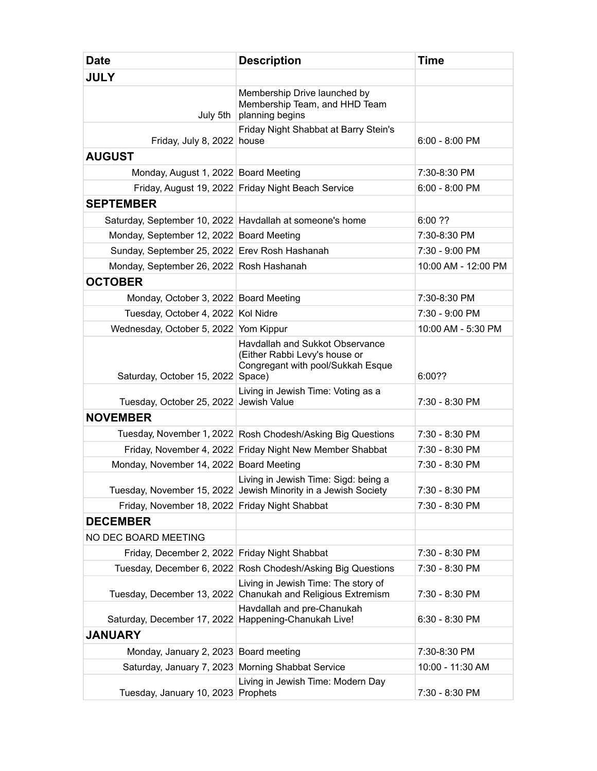| <b>Date</b>                                    | <b>Description</b>                                                                                     | <b>Time</b>         |
|------------------------------------------------|--------------------------------------------------------------------------------------------------------|---------------------|
| <b>JULY</b>                                    |                                                                                                        |                     |
| July 5th                                       | Membership Drive launched by<br>Membership Team, and HHD Team<br>planning begins                       |                     |
| Friday, July 8, 2022 house                     | Friday Night Shabbat at Barry Stein's                                                                  | $6:00 - 8:00$ PM    |
| <b>AUGUST</b>                                  |                                                                                                        |                     |
| Monday, August 1, 2022 Board Meeting           |                                                                                                        | 7:30-8:30 PM        |
|                                                | Friday, August 19, 2022 Friday Night Beach Service                                                     | 6:00 - 8:00 PM      |
| <b>SEPTEMBER</b>                               |                                                                                                        |                     |
|                                                | Saturday, September 10, 2022 Havdallah at someone's home                                               | 6:00 ??             |
| Monday, September 12, 2022 Board Meeting       |                                                                                                        | 7:30-8:30 PM        |
| Sunday, September 25, 2022 Erev Rosh Hashanah  |                                                                                                        | 7:30 - 9:00 PM      |
| Monday, September 26, 2022 Rosh Hashanah       |                                                                                                        | 10:00 AM - 12:00 PM |
| <b>OCTOBER</b>                                 |                                                                                                        |                     |
| Monday, October 3, 2022 Board Meeting          |                                                                                                        | 7:30-8:30 PM        |
| Tuesday, October 4, 2022 Kol Nidre             |                                                                                                        | 7:30 - 9:00 PM      |
| Wednesday, October 5, 2022 Yom Kippur          |                                                                                                        | 10:00 AM - 5:30 PM  |
| Saturday, October 15, 2022   Space)            | Havdallah and Sukkot Observance<br>(Either Rabbi Levy's house or<br>Congregant with pool/Sukkah Esque  | 6:00??              |
| Tuesday, October 25, 2022 Jewish Value         | Living in Jewish Time: Voting as a                                                                     | 7:30 - 8:30 PM      |
| <b>NOVEMBER</b>                                |                                                                                                        |                     |
|                                                | Tuesday, November 1, 2022 Rosh Chodesh/Asking Big Questions                                            | 7:30 - 8:30 PM      |
|                                                | Friday, November 4, 2022 Friday Night New Member Shabbat                                               | 7:30 - 8:30 PM      |
| Monday, November 14, 2022 Board Meeting        |                                                                                                        | 7:30 - 8:30 PM      |
|                                                | Living in Jewish Time: Sigd: being a<br>Tuesday, November 15, 2022 Jewish Minority in a Jewish Society | 7:30 - 8:30 PM      |
| Friday, November 18, 2022 Friday Night Shabbat |                                                                                                        | 7:30 - 8:30 PM      |
| <b>DECEMBER</b>                                |                                                                                                        |                     |
| NO DEC BOARD MEETING                           |                                                                                                        |                     |
| Friday, December 2, 2022 Friday Night Shabbat  |                                                                                                        | 7:30 - 8:30 PM      |
| Tuesday, December 6, 2022                      | Rosh Chodesh/Asking Big Questions                                                                      | 7:30 - 8:30 PM      |
|                                                | Living in Jewish Time: The story of<br>Tuesday, December 13, 2022 Chanukah and Religious Extremism     | 7:30 - 8:30 PM      |
| Saturday, December 17, 2022                    | Havdallah and pre-Chanukah<br>Happening-Chanukah Live!                                                 | $6:30 - 8:30$ PM    |
| <b>JANUARY</b>                                 |                                                                                                        |                     |
| Monday, January 2, 2023                        | Board meeting                                                                                          | 7:30-8:30 PM        |
| Saturday, January 7, 2023                      | Morning Shabbat Service                                                                                | 10:00 - 11:30 AM    |
| Tuesday, January 10, 2023                      | Living in Jewish Time: Modern Day<br>Prophets                                                          | 7:30 - 8:30 PM      |